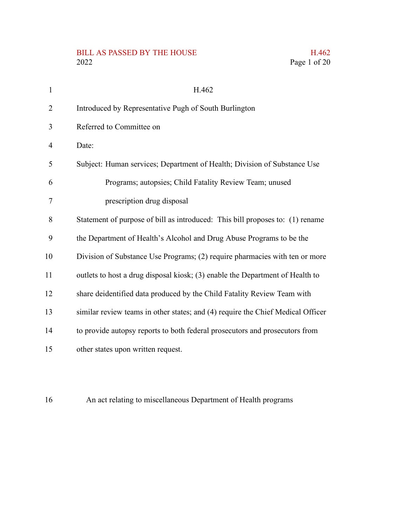#### BILL AS PASSED BY THE HOUSE  $2022$ 2022 Page 1 of 20

|  | H.462        |
|--|--------------|
|  | Page 1 of 20 |

| $\mathbf{1}$ | H.462                                                                           |
|--------------|---------------------------------------------------------------------------------|
| 2            | Introduced by Representative Pugh of South Burlington                           |
| 3            | Referred to Committee on                                                        |
| 4            | Date:                                                                           |
| 5            | Subject: Human services; Department of Health; Division of Substance Use        |
| 6            | Programs; autopsies; Child Fatality Review Team; unused                         |
| 7            | prescription drug disposal                                                      |
| 8            | Statement of purpose of bill as introduced: This bill proposes to: (1) rename   |
| 9            | the Department of Health's Alcohol and Drug Abuse Programs to be the            |
| 10           | Division of Substance Use Programs; (2) require pharmacies with ten or more     |
| 11           | outlets to host a drug disposal kiosk; (3) enable the Department of Health to   |
| 12           | share deidentified data produced by the Child Fatality Review Team with         |
| 13           | similar review teams in other states; and (4) require the Chief Medical Officer |
| 14           | to provide autopsy reports to both federal prosecutors and prosecutors from     |
| 15           | other states upon written request.                                              |

An act relating to miscellaneous Department of Health programs 16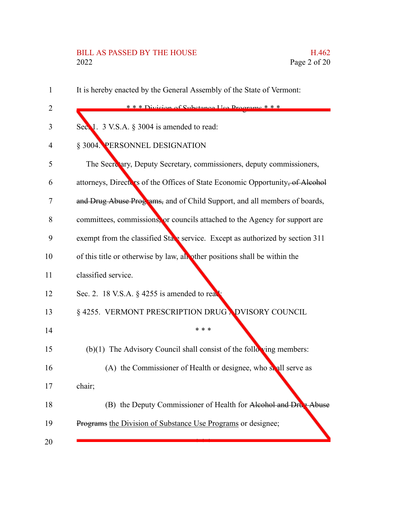# BILL AS PASSED BY THE HOUSE H.462<br>2022 Page 2 of 20

| $\mathbf{1}$ | It is hereby enacted by the General Assembly of the State of Vermont:         |
|--------------|-------------------------------------------------------------------------------|
| 2            | *** Division of Substance He Drograms ***                                     |
| 3            | Sec. 1. 3 V.S.A. $\S$ 3004 is amended to read:                                |
| 4            | § 3004. PERSONNEL DESIGNATION                                                 |
| 5            | The Secretary, Deputy Secretary, commissioners, deputy commissioners,         |
| 6            | attorneys, Directors of the Offices of State Economic Opportunity, of Alcohol |
| 7            | and Drug Abuse Programs, and of Child Support, and all members of boards,     |
| 8            | committees, commissions, or councils attached to the Agency for support are   |
| 9            | exempt from the classified State service. Except as authorized by section 311 |
| 10           | of this title or otherwise by law, all other positions shall be within the    |
| 11           | classified service.                                                           |
| 12           | Sec. 2. 18 V.S.A. $\S$ 4255 is amended to real                                |
| 13           | § 4255. VERMONT PRESCRIPTION DRUG NDVISORY COUNCIL                            |
| 14           | * * *                                                                         |
| 15           | $(b)(1)$ The Advisory Council shall consist of the following members:         |
| 16           | (A) the Commissioner of Health or designee, who shall serve as                |
| 17           | chair;                                                                        |
| 18           | (B) the Deputy Commissioner of Health for Alcohol and Drug Abuse              |
| 19           | Programs the Division of Substance Use Programs or designee;                  |
| 20           |                                                                               |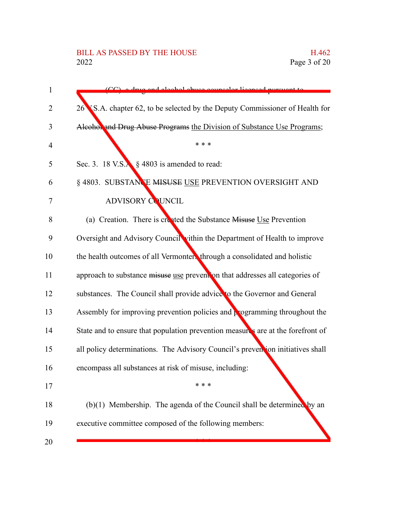# BILL AS PASSED BY THE HOUSE H.462<br>2022 Page 3 of 20

| $\mathbf{1}$   | CC) a drug and algabel abyco councelor licensed pursuant to                           |
|----------------|---------------------------------------------------------------------------------------|
| $\overline{2}$ | 26 S.A. chapter 62, to be selected by the Deputy Commissioner of Health for           |
| 3              | Alcohol and Drug Abuse Programs the Division of Substance Use Programs;               |
| 4              | * * *                                                                                 |
| 5              | Sec. 3. 18 V.S. $\frac{1}{2}$ \$ 4803 is amended to read:                             |
| 6              | § 4803. SUBSTANCE MISUSE USE PREVENTION OVERSIGHT AND                                 |
| 7              | <b>ADVISORY COUNCIL</b>                                                               |
| 8              | (a) Creation. There is created the Substance Misuse Use Prevention                    |
| 9              | Oversight and Advisory Council vithin the Department of Health to improve             |
| 10             | the health outcomes of all Vermonters through a consolidated and holistic             |
| 11             | approach to substance misuse use prevention that addresses all categories of          |
| 12             | substances. The Council shall provide advice to the Governor and General              |
| 13             | Assembly for improving prevention policies and $\frac{1}{k}$ ogramming throughout the |
| 14             | State and to ensure that population prevention measures are at the forefront of       |
| 15             | all policy determinations. The Advisory Council's prevention initiatives shall        |
| 16             | encompass all substances at risk of misuse, including:                                |
| 17             |                                                                                       |
| 18             | $(b)(1)$ Membership. The agenda of the Council shall be determined by an              |
| 19             | executive committee composed of the following members:                                |
| 20             |                                                                                       |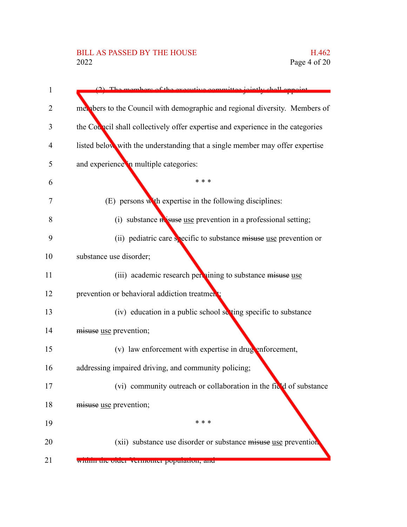| 1  | $(2)$ The members of the executive committee<br><i>jointly chall ann</i>        |
|----|---------------------------------------------------------------------------------|
| 2  | mer bers to the Council with demographic and regional diversity. Members of     |
| 3  | the Council shall collectively offer expertise and experience in the categories |
| 4  | listed below with the understanding that a single member may offer expertise    |
| 5  | and experience in multiple categories:                                          |
| 6  | * * *                                                                           |
| 7  | (E) persons with expertise in the following disciplines:                        |
| 8  | (i) substance $\hat{\bf a}$ suse use prevention in a professional setting;      |
| 9  | (ii) pediatric care specific to substance misuse use prevention or              |
| 10 | substance use disorder;                                                         |
| 11 | (iii) academic research per nining to substance misuse use                      |
| 12 | prevention or behavioral addiction treatment                                    |
| 13 | (iv) education in a public school setting specific to substance                 |
| 14 | misuse use prevention;                                                          |
| 15 | (v) law enforcement with expertise in drug enforcement,                         |
| 16 | addressing impaired driving, and community policing;                            |
| 17 | (vi) community outreach or collaboration in the field of substance              |
| 18 | misuse use prevention;                                                          |
| 19 | * * *                                                                           |
| 20 | (xii) substance use disorder or substance misuse use prevention                 |
| 21 | within the order vermonter population, and                                      |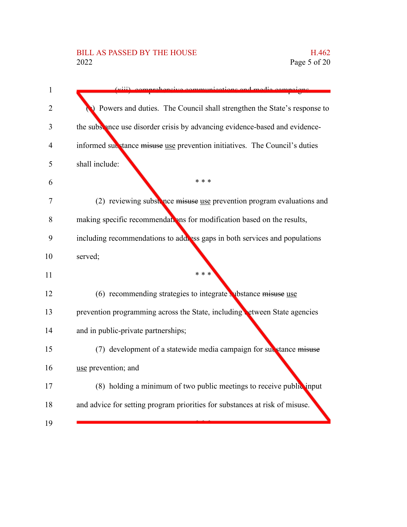## BILL AS PASSED BY THE HOUSE H.462<br>2022 Page 5 of 20

| $\mathbf{1}$   | <i>iontions</i> and modi                                                    |
|----------------|-----------------------------------------------------------------------------|
| $\overline{2}$ | Powers and duties. The Council shall strengthen the State's response to     |
| 3              | the subsence use disorder crisis by advancing evidence-based and evidence-  |
| 4              | informed substance misuse use prevention initiatives. The Council's duties  |
| 5              | shall include:                                                              |
| 6              | * * *                                                                       |
| 7              | (2) reviewing substance misuse use prevention program evaluations and       |
| 8              | making specific recommendations for modification based on the results,      |
| 9              | including recommendations to add ess gaps in both services and populations  |
| 10             | served;                                                                     |
| 11             | * * *                                                                       |
| 12             | $(6)$ recommending strategies to integrate whistance misuse use             |
| 13             | prevention programming across the State, including etween State agencies    |
| 14             | and in public-private partnerships;                                         |
| 15             | (7) development of a statewide media campaign for substance misuse          |
| 16             | use prevention; and                                                         |
| 17             | (8) holding a minimum of two public meetings to receive public input        |
| 18             | and advice for setting program priorities for substances at risk of misuse. |
| 19             |                                                                             |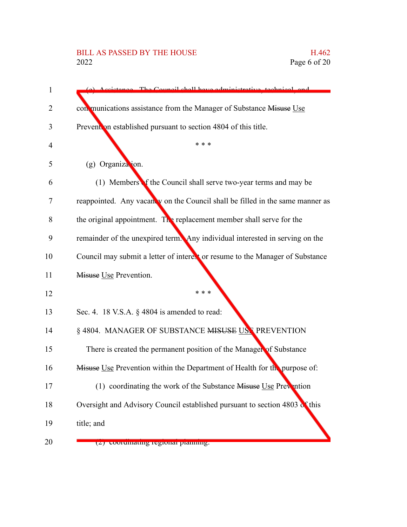# BILL AS PASSED BY THE HOUSE H.462<br>2022 Page 6 of 20

| 1  | (a) Assistance. The Council shall have administrative technical and           |
|----|-------------------------------------------------------------------------------|
| 2  | con munications assistance from the Manager of Substance Misuse Use           |
| 3  | Prevention established pursuant to section 4804 of this title.                |
| 4  | * * *                                                                         |
| 5  | (g) Organization.                                                             |
| 6  | (1) Members of the Council shall serve two-year terms and may be              |
| 7  | reappointed. Any vacanty on the Council shall be filled in the same manner as |
| 8  | the original appointment. The replacement member shall serve for the          |
| 9  | remainder of the unexpired term. Any individual interested in serving on the  |
| 10 | Council may submit a letter of interest or resume to the Manager of Substance |
| 11 | Misuse Use Prevention.                                                        |
| 12 | * * *                                                                         |
| 13 | Sec. 4. 18 V.S.A. § 4804 is amended to read:                                  |
| 14 | § 4804. MANAGER OF SUBSTANCE MISUSE USE PREVENTION                            |
| 15 | There is created the permanent position of the Manager of Substance           |
| 16 | Misuse Use Prevention within the Department of Health for the purpose of:     |
| 17 | (1) coordinating the work of the Substance Misuse Use Prevention              |
| 18 | Oversight and Advisory Council established pursuant to section 4803 of this   |
| 19 | title; and                                                                    |
| 20 | (z) coorumaning regionar praining.                                            |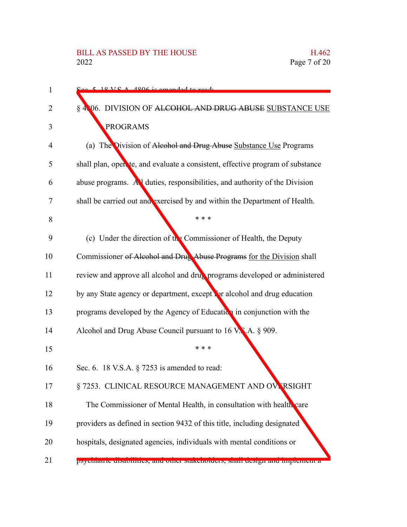| 1  | $\frac{C_{\alpha\alpha} - 5}{2}$ 18 V C A 1806 is amonded to ready             |
|----|--------------------------------------------------------------------------------|
| 2  | § 4806. DIVISION OF ALCOHOL AND DRUG ABUSE SUBSTANCE USE                       |
| 3  | <b>PROGRAMS</b>                                                                |
| 4  | (a) The Division of Alcohol and Drug Abuse Substance Use Programs              |
| 5  | shall plan, open te, and evaluate a consistent, effective program of substance |
| 6  | abuse programs. All duties, responsibilities, and authority of the Division    |
| 7  | shall be carried out and exercised by and within the Department of Health.     |
| 8  | * * *                                                                          |
| 9  | (c) Under the direction of the Commissioner of Health, the Deputy              |
| 10 | Commissioner of Alcohol and Drug Abuse Programs for the Division shall         |
| 11 | review and approve all alcohol and drug programs developed or administered     |
| 12 | by any State agency or department, except for alcohol and drug education       |
| 13 | programs developed by the Agency of Education in conjunction with the          |
| 14 | Alcohol and Drug Abuse Council pursuant to 16 V.N.A. § 909.                    |
| 15 | * * *                                                                          |
| 16 | Sec. 6. 18 V.S.A. $\S$ 7253 is amended to read:                                |
| 17 | § 7253. CLINICAL RESOURCE MANAGEMENT AND OVERSIGHT                             |
| 18 | The Commissioner of Mental Health, in consultation with health care            |
| 19 | providers as defined in section 9432 of this title, including designated       |
| 20 | hospitals, designated agencies, individuals with mental conditions or          |
| 21 | psychiatric disabilities, and other stakeholders, shari design and implement a |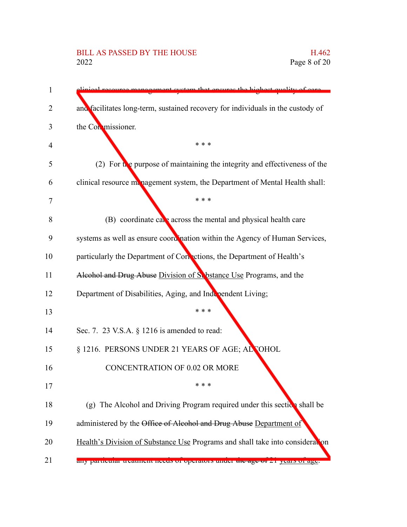# BILL AS PASSED BY THE HOUSE H.462<br>2022 Page 8 of 20

| ement gystem that engures the highest quality of care                           |
|---------------------------------------------------------------------------------|
| and facilitates long-term, sustained recovery for individuals in the custody of |
| the Conmissioner.                                                               |
| * * *                                                                           |
| (2) For the purpose of maintaining the integrity and effectiveness of the       |
| clinical resource management system, the Department of Mental Health shall:     |
| * * *                                                                           |
| $(B)$ coordinate care across the mental and physical health care                |
| systems as well as ensure coordination within the Agency of Human Services,     |
| particularly the Department of Cortections, the Department of Health's          |
| Alcohol and Drug Abuse Division of S. bstance Use Programs, and the             |
| Department of Disabilities, Aging, and Independent Living;                      |
| * * *                                                                           |
| Sec. 7. 23 V.S.A. § 1216 is amended to read:                                    |
| § 1216. PERSONS UNDER 21 YEARS OF AGE; ALCOHOL                                  |
| <b>CONCENTRATION OF 0.02 OR MORE</b>                                            |
| * * *                                                                           |
| (g) The Alcohol and Driving Program required under this section shall be        |
| administered by the Office of Alcohol and Drug Abuse Department of              |
| Health's Division of Substance Use Programs and shall take into consideration   |
| any particular treatment necus or operators unuer the age of 21 years or age.   |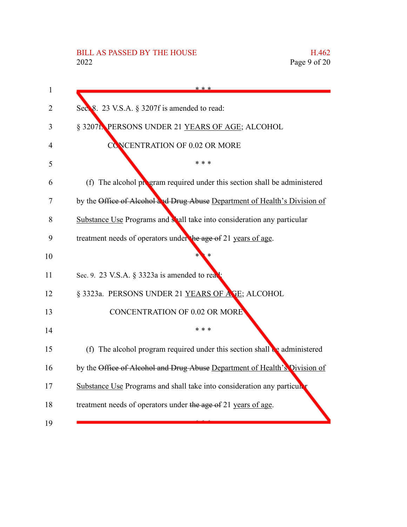# BILL AS PASSED BY THE HOUSE H.462<br>2022 Page 9 of 20

| 1  | * * *                                                                                 |
|----|---------------------------------------------------------------------------------------|
| 2  | Sec. 8. 23 V.S.A. § 3207f is amended to read:                                         |
| 3  | § 3207f. PERSONS UNDER 21 YEARS OF AGE; ALCOHOL                                       |
| 4  | CONCENTRATION OF 0.02 OR MORE                                                         |
| 5  | * * *                                                                                 |
| 6  | (f) The alcohol program required under this section shall be administered             |
| 7  | by the Office of Alcohol and Drug Abuse Department of Health's Division of            |
| 8  | Substance Use Programs and shall take into consideration any particular               |
| 9  | treatment needs of operators under the age of 21 years of age.                        |
| 10 |                                                                                       |
| 11 | Sec. 9. 23 V.S.A. § 3323a is amended to rea                                           |
| 12 | § 3323a. PERSONS UNDER 21 YEARS OF AGE; ALCOHOL                                       |
| 13 | <b>CONCENTRATION OF 0.02 OR MORE</b>                                                  |
| 14 | * * *                                                                                 |
| 15 | (f) The alcohol program required under this section shall $\mathbf{e}_2$ administered |
| 16 | by the Office of Alcohol and Drug Abuse Department of Health's Division of            |
| 17 | Substance Use Programs and shall take into consideration any particula                |
| 18 | treatment needs of operators under the age of 21 years of age.                        |
| 19 |                                                                                       |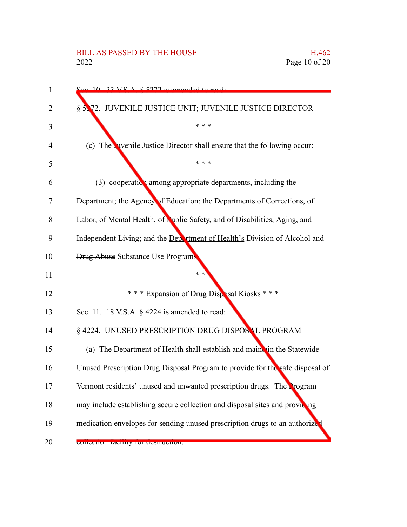| 1  | $22 \text{ V} \text{C}$ $\Lambda$ $\&$ 5272 is amonded to ready               |
|----|-------------------------------------------------------------------------------|
| 2  | § 5.72. JUVENILE JUSTICE UNIT; JUVENILE JUSTICE DIRECTOR                      |
| 3  | * * *                                                                         |
| 4  | (c) The vivenile Justice Director shall ensure that the following occur:      |
| 5  | * * *                                                                         |
| 6  | $(3)$ cooperation among appropriate departments, including the                |
| 7  | Department; the Agency of Education; the Departments of Corrections, of       |
| 8  | Labor, of Mental Health, of Public Safety, and of Disabilities, Aging, and    |
| 9  | Independent Living; and the Department of Health's Division of Alcohol and    |
| 10 | <b>Drug Abuse Substance Use Programs</b>                                      |
| 11 | $* *$                                                                         |
| 12 | *** Expansion of Drug Disposal Kiosks ***                                     |
| 13 | Sec. 11. 18 V.S.A. § 4224 is amended to read:                                 |
| 14 | § 4224. UNUSED PRESCRIPTION DRUG DISPOSAL PROGRAM                             |
| 15 | (a) The Department of Health shall establish and maint in the Statewide       |
| 16 | Unused Prescription Drug Disposal Program to provide for the safe disposal of |
| 17 | Vermont residents' unused and unwanted prescription drugs. The Program        |
| 18 | may include establishing secure collection and disposal sites and providing   |
| 19 | medication envelopes for sending unused prescription drugs to an authorize    |
| 20 | concentul facinty for destruction.                                            |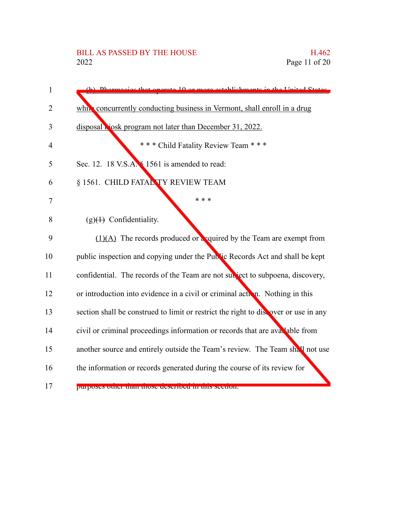| 1              | (b) Dhermogies that operate 10 or more establishments in the United States          |
|----------------|-------------------------------------------------------------------------------------|
| 2              | which concurrently conducting business in Vermont, shall enroll in a drug           |
| 3              | disposal <b>Nosk</b> program not later than December 31, 2022.                      |
| $\overline{4}$ | *** Child Fatality Review Team ***                                                  |
| 5              | Sec. 12. 18 V.S.A. § 1561 is amended to read:                                       |
| 6              | § 1561. CHILD FATAL TY REVIEW TEAM                                                  |
| 7              | * * *                                                                               |
| 8              | $(g)(1)$ Confidentiality.                                                           |
| 9              | $(1)(A)$ The records produced or a courred by the Team are exempt from              |
| 10             | public inspection and copying under the Public Records Act and shall be kept        |
| 11             | confidential. The records of the Team are not subject to subpoena, discovery,       |
| 12             | or introduction into evidence in a civil or criminal action. Nothing in this        |
| 13             | section shall be construed to limit or restrict the right to discover or use in any |
| 14             | civil or criminal proceedings information or records that are avalable from         |
| 15             | another source and entirely outside the Team's review. The Team shall not use       |
| 16             | the information or records generated during the course of its review for            |
| 17             | purposes quier man mose described in mis secuon.                                    |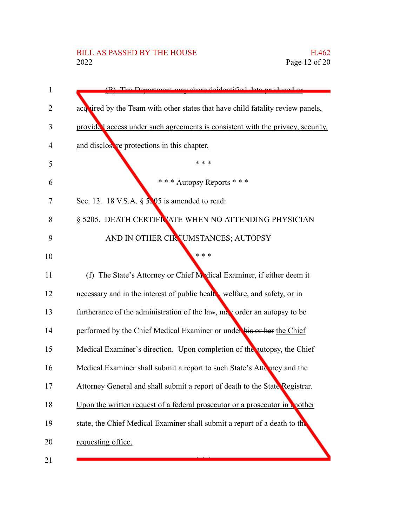| 1  | (B) The Department may share deidentified data produced or                      |
|----|---------------------------------------------------------------------------------|
| 2  | acquired by the Team with other states that have child fatality review panels,  |
| 3  | provided access under such agreements is consistent with the privacy, security, |
| 4  | and disclosure protections in this chapter.                                     |
| 5  | * * *                                                                           |
| 6  | * * * Autopsy Reports * * *                                                     |
| 7  | Sec. 13. 18 V.S.A. $\S$ 5. 05 is amended to read:                               |
| 8  | § 5205. DEATH CERTIFICATE WHEN NO ATTENDING PHYSICIAN                           |
| 9  | AND IN OTHER CIRCUMSTANCES; AUTOPSY                                             |
| 10 | * * *                                                                           |
| 11 | (f) The State's Attorney or Chief Medical Examiner, if either deem it           |
| 12 | necessary and in the interest of public health welfare, and safety, or in       |
| 13 | furtherance of the administration of the law, may order an autopsy to be        |
| 14 | performed by the Chief Medical Examiner or under his or her the Chief           |
| 15 | Medical Examiner's direction. Upon completion of the autopsy, the Chief         |
| 16 | Medical Examiner shall submit a report to such State's Attomacy and the         |
| 17 | Attorney General and shall submit a report of death to the State Registrar.     |
| 18 | Upon the written request of a federal prosecutor or a prosecutor in a nother    |
| 19 | state, the Chief Medical Examiner shall submit a report of a death to the       |
| 20 | requesting office.                                                              |
| 21 |                                                                                 |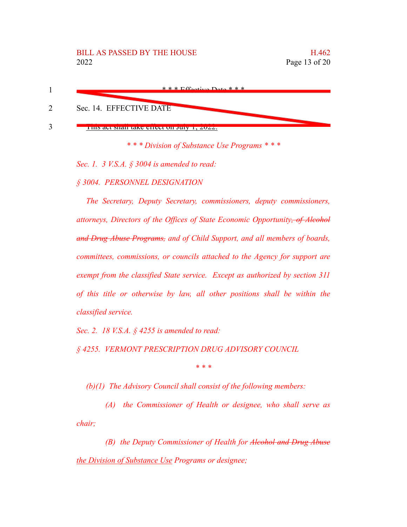

*\* \* \* Division of Substance Use Programs \* \* \**

*Sec. 1. 3 V.S.A. § 3004 is amended to read:*

*§ 3004. PERSONNEL DESIGNATION*

*The Secretary, Deputy Secretary, commissioners, deputy commissioners, attorneys, Directors of the Offices of State Economic Opportunity, of Alcohol and Drug Abuse Programs, and of Child Support, and all members of boards, committees, commissions, or councils attached to the Agency for support are exempt from the classified State service. Except as authorized by section 311 of this title or otherwise by law, all other positions shall be within the classified service.*

*Sec. 2. 18 V.S.A. § 4255 is amended to read:*

*§ 4255. VERMONT PRESCRIPTION DRUG ADVISORY COUNCIL*

*\* \* \**

*(b)(1) The Advisory Council shall consist of the following members:*

*(A) the Commissioner of Health or designee, who shall serve as chair;*

*(B) the Deputy Commissioner of Health for Alcohol and Drug Abuse the Division of Substance Use Programs or designee;*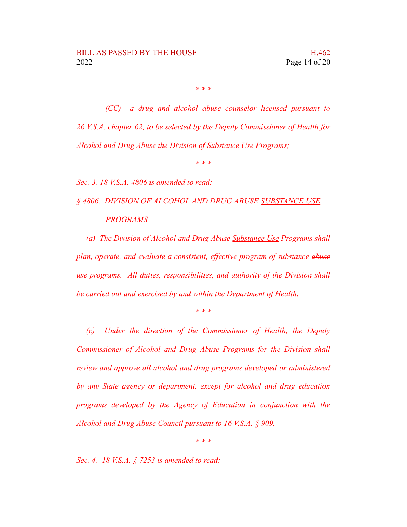*\* \* \**

*(CC) a drug and alcohol abuse counselor licensed pursuant to 26 V.S.A. chapter 62, to be selected by the Deputy Commissioner of Health for Alcohol and Drug Abuse the Division of Substance Use Programs;*

*\* \* \**

*Sec. 3. 18 V.S.A. 4806 is amended to read:*

*§ 4806. DIVISION OF ALCOHOL AND DRUG ABUSE SUBSTANCE USE PROGRAMS*

*(a) The Division of Alcohol and Drug Abuse Substance Use Programs shall plan, operate, and evaluate a consistent, effective program of substance abuse use programs. All duties, responsibilities, and authority of the Division shall be carried out and exercised by and within the Department of Health.*

*\* \* \**

*(c) Under the direction of the Commissioner of Health, the Deputy Commissioner of Alcohol and Drug Abuse Programs for the Division shall review and approve all alcohol and drug programs developed or administered by any State agency or department, except for alcohol and drug education programs developed by the Agency of Education in conjunction with the Alcohol and Drug Abuse Council pursuant to 16 V.S.A. § 909.*

*\* \* \**

*Sec. 4. 18 V.S.A. § 7253 is amended to read:*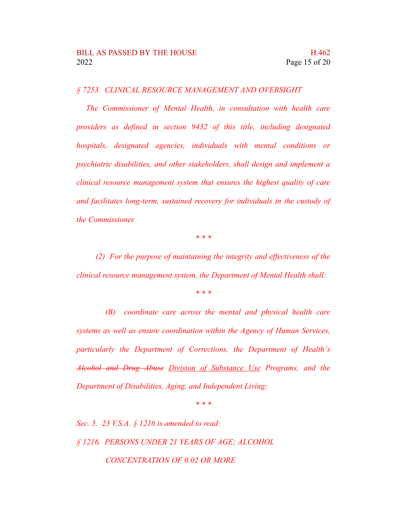*§ 7253. CLINICAL RESOURCE MANAGEMENT AND OVERSIGHT*

*The Commissioner of Mental Health, in consultation with health care providers as defined in section 9432 of this title, including designated hospitals, designated agencies, individuals with mental conditions or psychiatric disabilities, and other stakeholders, shall design and implement a clinical resource management system that ensures the highest quality of care and facilitates long-term, sustained recovery for individuals in the custody of the Commissioner.*

*\* \* \**

*(2) For the purpose of maintaining the integrity and effectiveness of the clinical resource management system, the Department of Mental Health shall:*

*\* \* \**

*(B) coordinate care across the mental and physical health care systems as well as ensure coordination within the Agency of Human Services, particularly the Department of Corrections, the Department of Health's Alcohol and Drug Abuse Division of Substance Use Programs, and the Department of Disabilities, Aging, and Independent Living;*

*\* \* \**

*Sec. 5. 23 V.S.A. § 1216 is amended to read: § 1216. PERSONS UNDER 21 YEARS OF AGE; ALCOHOL CONCENTRATION OF 0.02 OR MORE*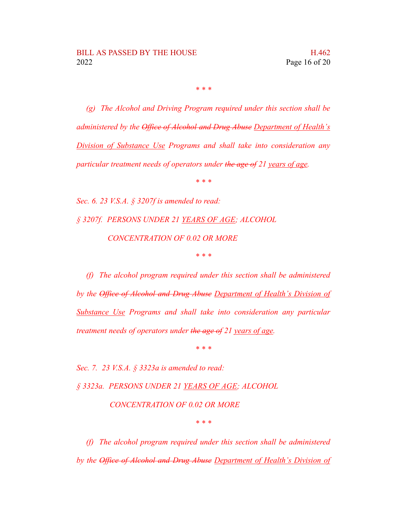*\* \* \**

*(g) The Alcohol and Driving Program required under this section shall be administered by the Office of Alcohol and Drug Abuse Department of Health's Division of Substance Use Programs and shall take into consideration any particular treatment needs of operators under the age of 21 years of age.*

*\* \* \**

*Sec. 6. 23 V.S.A. § 3207f is amended to read: § 3207f. PERSONS UNDER 21 YEARS OF AGE; ALCOHOL CONCENTRATION OF 0.02 OR MORE \* \* \**

*(f) The alcohol program required under this section shall be administered by the Office of Alcohol and Drug Abuse Department of Health's Division of Substance Use Programs and shall take into consideration any particular treatment needs of operators under the age of 21 years of age.*

*\* \* \**

*Sec. 7. 23 V.S.A. § 3323a is amended to read:*

*§ 3323a. PERSONS UNDER 21 YEARS OF AGE; ALCOHOL*

*CONCENTRATION OF 0.02 OR MORE*

*\* \* \**

*(f) The alcohol program required under this section shall be administered by the Office of Alcohol and Drug Abuse Department of Health's Division of*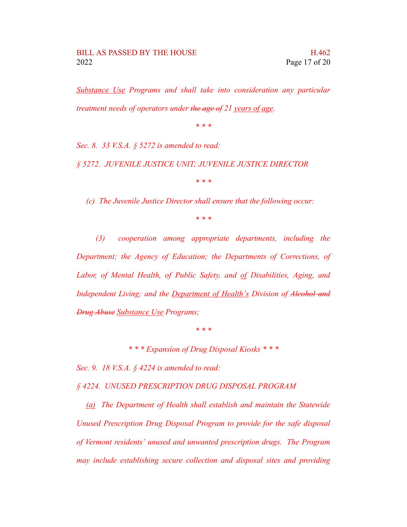*Substance Use Programs and shall take into consideration any particular treatment needs of operators under the age of 21 years of age.*

*\* \* \**

*Sec. 8. 33 V.S.A. § 5272 is amended to read:*

*§ 5272. JUVENILE JUSTICE UNIT; JUVENILE JUSTICE DIRECTOR*

*\* \* \**

*(c) The Juvenile Justice Director shall ensure that the following occur:*

*\* \* \**

*(3) cooperation among appropriate departments, including the Department; the Agency of Education; the Departments of Corrections, of Labor, of Mental Health, of Public Safety, and of Disabilities, Aging, and Independent Living; and the Department of Health's Division of Alcohol and Drug Abuse Substance Use Programs;*

*\* \* \**

*\* \* \* Expansion of Drug Disposal Kiosks \* \* \**

*Sec. 9. 18 V.S.A. § 4224 is amended to read:*

*§ 4224. UNUSED PRESCRIPTION DRUG DISPOSAL PROGRAM*

*(a) The Department of Health shall establish and maintain the Statewide Unused Prescription Drug Disposal Program to provide for the safe disposal of Vermont residents' unused and unwanted prescription drugs. The Program may include establishing secure collection and disposal sites and providing*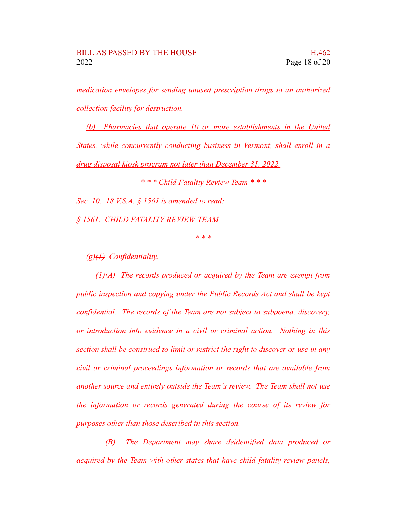*medication envelopes for sending unused prescription drugs to an authorized collection facility for destruction.*

*(b) Pharmacies that operate 10 or more establishments in the United States, while concurrently conducting business in Vermont, shall enroll in a drug disposal kiosk program not later than December 31, 2022.*

*\* \* \* Child Fatality Review Team \* \* \* Sec. 10. 18 V.S.A. § 1561 is amended to read: § 1561. CHILD FATALITY REVIEW TEAM*

*\* \* \**

*(g)(1) Confidentiality.*

*(1)(A) The records produced or acquired by the Team are exempt from public inspection and copying under the Public Records Act and shall be kept confidential. The records of the Team are not subject to subpoena, discovery, or introduction into evidence in a civil or criminal action. Nothing in this section shall be construed to limit or restrict the right to discover or use in any civil or criminal proceedings information or records that are available from another source and entirely outside the Team's review. The Team shall not use the information or records generated during the course of its review for purposes other than those described in this section.*

*(B) The Department may share deidentified data produced or acquired by the Team with other states that have child fatality review panels,*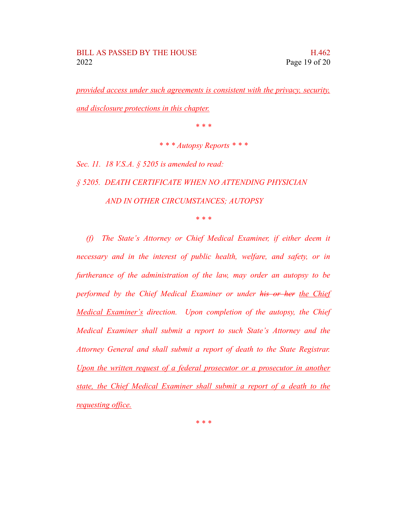*provided access under such agreements is consistent with the privacy, security, and disclosure protections in this chapter.*

*\* \* \**

*\* \* \* Autopsy Reports \* \* \**

*Sec. 11. 18 V.S.A. § 5205 is amended to read: § 5205. DEATH CERTIFICATE WHEN NO ATTENDING PHYSICIAN AND IN OTHER CIRCUMSTANCES; AUTOPSY*

*\* \* \**

*(f) The State's Attorney or Chief Medical Examiner, if either deem it necessary and in the interest of public health, welfare, and safety, or in furtherance of the administration of the law, may order an autopsy to be performed by the Chief Medical Examiner or under his or her the Chief Medical Examiner's direction. Upon completion of the autopsy, the Chief Medical Examiner shall submit a report to such State's Attorney and the Attorney General and shall submit a report of death to the State Registrar. Upon the written request of a federal prosecutor or a prosecutor in another state, the Chief Medical Examiner shall submit a report of a death to the requesting office.*

*\* \* \**